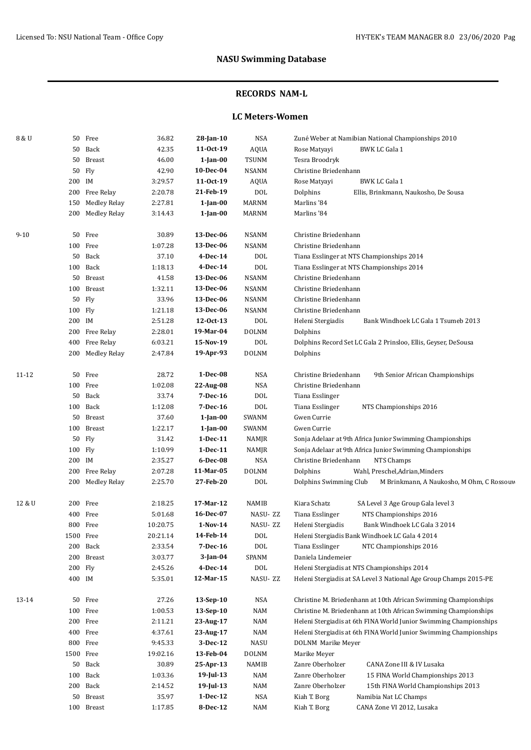### **RECORDS NAM-L**

### **LC Meters-Women**

| 8 & U    |           | 50 Free             | 36.82                 | 28-Jan-10      | <b>NSA</b>   | Zuné Weber at Namibian National Championships 2010                  |  |  |
|----------|-----------|---------------------|-----------------------|----------------|--------------|---------------------------------------------------------------------|--|--|
|          |           | 50 Back             | 42.35                 | 11-0ct-19      | AQUA         | <b>BWK LC Gala 1</b><br>Rose Matyayi                                |  |  |
|          |           | 50 Breast           | 46.00                 | $1$ -Jan- $00$ | <b>TSUNM</b> | Tesra Broodryk                                                      |  |  |
|          |           | 50 Fly              | 42.90                 | 10-Dec-04      | <b>NSANM</b> | Christine Briedenhann                                               |  |  |
|          | 200 IM    |                     | 3:29.57               | 11-0ct-19      | <b>AQUA</b>  | <b>BWK LC Gala 1</b><br>Rose Matyayi                                |  |  |
|          |           | 200 Free Relay      | 2:20.78               | 21-Feb-19      | DOL          | Dolphins<br>Ellis, Brinkmann, Naukosho, De Sousa                    |  |  |
|          | 150       | Medley Relay        | 2:27.81               | 1-Jan-00       | <b>MARNM</b> | Marlins '84                                                         |  |  |
|          |           | 200 Medley Relay    | 3:14.43               | 1-Jan-00       | MARNM        | Marlins '84                                                         |  |  |
|          |           |                     |                       |                |              |                                                                     |  |  |
| $9 - 10$ |           | 50 Free             | 30.89                 | 13-Dec-06      | <b>NSANM</b> | Christine Briedenhann                                               |  |  |
|          |           | 100 Free            | 1:07.28               | 13-Dec-06      | <b>NSANM</b> | Christine Briedenhann                                               |  |  |
|          |           | 50 Back             | 37.10                 | 4-Dec-14       | <b>DOL</b>   | Tiana Esslinger at NTS Championships 2014                           |  |  |
|          |           | 100 Back            | 1:18.13               | 4-Dec-14       | <b>DOL</b>   | Tiana Esslinger at NTS Championships 2014                           |  |  |
|          |           | 50 Breast           | 41.58                 | 13-Dec-06      | <b>NSANM</b> | Christine Briedenhann                                               |  |  |
|          |           | 100 Breast          | 1:32.11               | 13-Dec-06      | <b>NSANM</b> | Christine Briedenhann                                               |  |  |
|          |           | 50 Fly              | 33.96                 | 13-Dec-06      | <b>NSANM</b> | Christine Briedenhann                                               |  |  |
|          | 100 Fly   |                     | 1:21.18               | 13-Dec-06      | <b>NSANM</b> | Christine Briedenhann                                               |  |  |
|          | 200 IM    |                     | 2:51.28               | 12-0ct-13      | DOL          | Heleni Stergiadis<br>Bank Windhoek LC Gala 1 Tsumeb 2013            |  |  |
|          |           | 200 Free Relay      | 2:28.01               | 19-Mar-04      | <b>DOLNM</b> | Dolphins                                                            |  |  |
|          | 400       | Free Relay          | 6:03.21               | 15-Nov-19      | DOL          | Dolphins Record Set LC Gala 2 Prinsloo, Ellis, Geyser, DeSousa      |  |  |
|          |           | 200 Medley Relay    | 2:47.84               | 19-Apr-93      | <b>DOLNM</b> | Dolphins                                                            |  |  |
| 11-12    |           | 50 Free             | 28.72                 | $1-Dec-08$     | <b>NSA</b>   | Christine Briedenhann<br>9th Senior African Championships           |  |  |
|          |           | 100 Free            | 1:02.08               | 22-Aug-08      | <b>NSA</b>   | Christine Briedenhann                                               |  |  |
|          |           | 50 Back             | 33.74                 | 7-Dec-16       | DOL          | Tiana Esslinger                                                     |  |  |
|          |           | 100 Back            | 1:12.08               | 7-Dec-16       | DOL          | Tiana Esslinger<br>NTS Championships 2016                           |  |  |
|          |           | 50 Breast           | 37.60                 | 1-Jan-00       | SWANM        | Gwen Currie                                                         |  |  |
|          |           | 100 Breast          | 1:22.17               | $1$ -Jan-00    | SWANM        | Gwen Currie                                                         |  |  |
|          |           | 50 Fly              | 31.42                 | $1-Dec-11$     | NAMJR        | Sonja Adelaar at 9th Africa Junior Swimming Championships           |  |  |
|          | 100 Fly   |                     | 1:10.99<br>$1-Dec-11$ |                | NAMJR        | Sonja Adelaar at 9th Africa Junior Swimming Championships           |  |  |
|          | 200 IM    |                     | 2:35.27               | 6-Dec-08       | <b>NSA</b>   | NTS Champs<br>Christine Briedenhann                                 |  |  |
|          | 200       | Free Relay          | 2:07.28               | 11-Mar-05      | <b>DOLNM</b> | Dolphins<br>Wahl, Preschel, Adrian, Minders                         |  |  |
|          | 200       | <b>Medley Relay</b> | 2:25.70               | 27-Feb-20      | DOL          | Dolphins Swimming Club<br>M Brinkmann, A Naukosho, M Ohm, C Rossouv |  |  |
|          |           |                     |                       |                |              |                                                                     |  |  |
| 12 & U   | 200       | Free                | 2:18.25               | 17-Mar-12      | <b>NAMIB</b> | Kiara Schatz<br>SA Level 3 Age Group Gala level 3                   |  |  |
|          | 400       | Free                | 5:01.68               | 16-Dec-07      | NASU-ZZ      | Tiana Esslinger<br>NTS Championships 2016                           |  |  |
|          |           | 800 Free            | 10:20.75              | $1-Nov-14$     | NASU-ZZ      | Heleni Stergiadis<br>Bank Windhoek LC Gala 3 2014                   |  |  |
|          | 1500 Free |                     | 20:21.14              | 14-Feb-14      | $\rm DOL$    | Heleni Stergiadis Bank Windhoek LC Gala 4 2014                      |  |  |
|          | 200       | Back                | 2:33.54               | 7-Dec-16       | $\rm DOL$    | Tiana Esslinger<br>NTC Championships 2016                           |  |  |
|          | 200       | Breast              | 3:03.77               | $3$ -Jan-04    | SPANM        | Daniela Lindemeier                                                  |  |  |
|          | 200 Fly   |                     | 2:45.26               | 4-Dec-14       | <b>DOL</b>   | Heleni Stergiadis at NTS Championships 2014                         |  |  |
|          | 400 IM    |                     | 5:35.01               | 12-Mar-15      | NASU-ZZ      | Heleni Stergiadis at SA Level 3 National Age Group Champs 2015-PE   |  |  |
| 13-14    | 50        | Free                | 27.26                 | 13-Sep-10      | NSA          | Christine M. Briedenhann at 10th African Swimming Championships     |  |  |
|          |           | 100 Free            | 1:00.53               | 13-Sep-10      | NAM          | Christine M. Briedenhann at 10th African Swimming Championships     |  |  |
|          |           | 200 Free            | 2:11.21               | 23-Aug-17      | NAM          | Heleni Stergiadis at 6th FINA World Junior Swimming Championships   |  |  |
|          |           | 400 Free            | 4:37.61               | 23-Aug-17      | NAM          | Heleni Stergiadis at 6th FINA World Junior Swimming Championships   |  |  |
|          |           | 800 Free            | 9:45.33               | 3-Dec-12       | NASU         | DOLNM Marike Meyer                                                  |  |  |
|          | 1500 Free |                     | 19:02.16              | 13-Feb-04      | <b>DOLNM</b> | Marike Meyer                                                        |  |  |
|          |           | 50 Back             | 30.89                 | 25-Apr-13      | NAMIB        | Zanre Oberholzer<br>CANA Zone III & IV Lusaka                       |  |  |
|          | 100       | Back                | 1:03.36               | 19-Jul-13      | NAM          | Zanre Oberholzer<br>15 FINA World Championships 2013                |  |  |
|          | 200       | Back                | 2:14.52               | 19-Jul-13      | NAM          | Zanre Oberholzer<br>15th FINA World Championships 2013              |  |  |
|          | 50        | Breast              | 35.97                 | 1-Dec-12       | NSA          | Kiah T. Borg<br>Namibia Nat LC Champs                               |  |  |
|          |           | 100 Breast          | 1:17.85               | 8-Dec-12       | NAM          | CANA Zone VI 2012, Lusaka<br>Kiah T. Borg                           |  |  |
|          |           |                     |                       |                |              |                                                                     |  |  |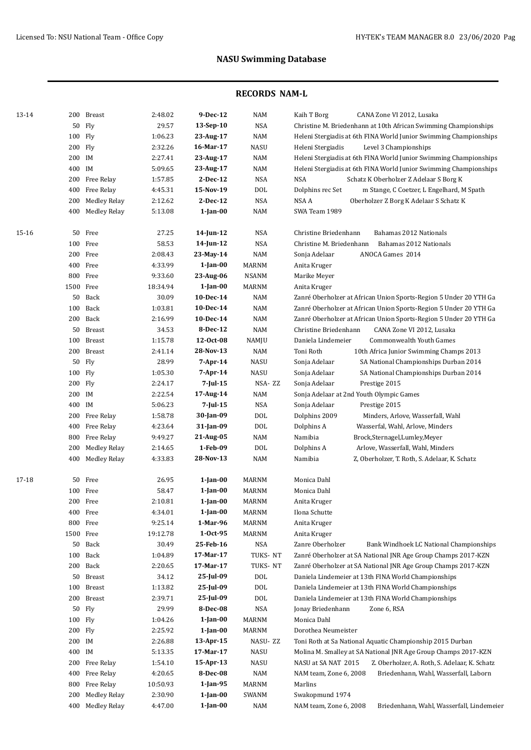| 13-14 | 200       | Breast              | 2:48.02  | 9-Dec-12       | NAM          | Kaih T Borg<br>CANA Zone VI 2012, Lusaka                                                                 |
|-------|-----------|---------------------|----------|----------------|--------------|----------------------------------------------------------------------------------------------------------|
|       | 50        | Fly                 | 29.57    | 13-Sep-10      | <b>NSA</b>   | Christine M. Briedenhann at 10th African Swimming Championships                                          |
|       | 100 Fly   |                     | 1:06.23  | 23-Aug-17      | NAM          | Heleni Stergiadis at 6th FINA World Junior Swimming Championships                                        |
|       | 200 Fly   |                     | 2:32.26  | 16-Mar-17      | <b>NASU</b>  | Level 3 Championships<br>Heleni Stergiadis                                                               |
|       | 200 IM    |                     | 2:27.41  | 23-Aug-17      | NAM          | Heleni Stergiadis at 6th FINA World Junior Swimming Championships                                        |
|       | 400 IM    |                     | 5:09.65  | 23-Aug-17      | NAM          | Heleni Stergiadis at 6th FINA World Junior Swimming Championships                                        |
|       | 200       | Free Relay          | 1:57.85  | 2-Dec-12       | <b>NSA</b>   | <b>NSA</b><br>Schatz K Oberholzer Z Adelaar S Borg K                                                     |
|       | 400       | Free Relay          | 4:45.31  | 15-Nov-19      | <b>DOL</b>   | Dolphins rec Set<br>m Stange, C Coetzer, L Engelhard, M Spath                                            |
|       | 200       | <b>Medley Relay</b> | 2:12.62  | 2-Dec-12       | <b>NSA</b>   | NSA A<br>Oberholzer Z Borg K Adelaar S Schatz K                                                          |
|       | 400       | <b>Medley Relay</b> | 5:13.08  | $1$ -Jan-00    | <b>NAM</b>   | SWA Team 1989                                                                                            |
| 15-16 | 50        | Free                | 27.25    | 14-Jun-12      | <b>NSA</b>   | Christine Briedenhann<br>Bahamas 2012 Nationals                                                          |
|       | 100       | Free                | 58.53    | 14-Jun-12      | <b>NSA</b>   | Christine M. Briedenhann<br>Bahamas 2012 Nationals                                                       |
|       |           | 200 Free            | 2:08.43  | 23-May-14      | <b>NAM</b>   | ANOCA Games 2014<br>Sonja Adelaar                                                                        |
|       |           | 400 Free            | 4:33.99  | $1$ -Jan-00    | MARNM        | Anita Kruger                                                                                             |
|       |           | 800 Free            | 9:33.60  | 23-Aug-06      | NSANM        | Marike Meyer                                                                                             |
|       | 1500 Free |                     | 18:34.94 | $1$ -Jan-00    | <b>MARNM</b> | Anita Kruger                                                                                             |
|       | 50        | Back                | 30.09    | 10-Dec-14      | <b>NAM</b>   | Zanré Oberholzer at African Union Sports-Region 5 Under 20 YTH Ga                                        |
|       | 100       | Back                | 1:03.81  | 10-Dec-14      | <b>NAM</b>   | Zanré Oberholzer at African Union Sports-Region 5 Under 20 YTH Ga                                        |
|       | 200       | Back                | 2:16.99  | 10-Dec-14      | <b>NAM</b>   | Zanré Oberholzer at African Union Sports-Region 5 Under 20 YTH Ga                                        |
|       | 50        | <b>Breast</b>       | 34.53    | 8-Dec-12       | <b>NAM</b>   | Christine Briedenhann<br>CANA Zone VI 2012, Lusaka                                                       |
|       | 100       | Breast              | 1:15.78  | 12-Oct-08      | NAMJU        | Daniela Lindemeier<br><b>Commonwealth Youth Games</b>                                                    |
|       | 200       | <b>Breast</b>       | 2:41.14  | 28-Nov-13      | <b>NAM</b>   | Toni Roth<br>10th Africa Junior Swimming Champs 2013                                                     |
|       | 50        | Fly                 | 28.99    | $7-Apr-14$     | <b>NASU</b>  | Sonja Adelaar<br>SA National Championships Durban 2014                                                   |
|       | 100 Fly   |                     | 1:05.30  | $7-Apr-14$     | <b>NASU</b>  | Sonja Adelaar<br>SA National Championships Durban 2014                                                   |
|       | 200 Fly   |                     | 2:24.17  | 7-Jul-15       | NSA-ZZ       | Sonja Adelaar<br>Prestige 2015                                                                           |
|       | 200 IM    |                     | 2:22.54  | 17-Aug-14      | NAM          | Sonja Adelaar at 2nd Youth Olympic Games                                                                 |
|       | 400 IM    |                     | 5:06.23  | $7$ -Jul-15    | <b>NSA</b>   | Sonja Adelaar<br>Prestige 2015                                                                           |
|       | 200       | Free Relay          | 1:58.78  | 30-Jan-09      | <b>DOL</b>   | Dolphins 2009<br>Minders, Arlove, Wasserfall, Wahl                                                       |
|       | 400       | Free Relay          | 4:23.64  | 31-Jan-09      | <b>DOL</b>   | Dolphins A<br>Wasserfal, Wahl, Arlove, Minders                                                           |
|       | 800       | Free Relay          | 9:49.27  | 21-Aug-05      | NAM          | Namibia<br>Brock,Sternagel,Lumley,Meyer                                                                  |
|       | 200       | <b>Medley Relay</b> | 2:14.65  | 1-Feb-09       | <b>DOL</b>   | Dolphins A<br>Arlove, Wasserfall, Wahl, Minders                                                          |
|       | 400       | <b>Medley Relay</b> | 4:33.83  | 28-Nov-13      | NAM          | Namibia<br>Z, Oberholzer, T. Roth, S. Adelaar, K. Schatz                                                 |
| 17-18 |           | 50 Free             | 26.95    | $1$ -Jan-00    | MARNM        | Monica Dahl                                                                                              |
|       |           | 100 Free            | 58.47    | $1$ -Jan- $00$ | MARNM        | Monica Dahl                                                                                              |
|       |           | 200 Free            | 2:10.81  | $1$ -Jan-00    | MARNM        | Anita Kruger                                                                                             |
|       |           | 400 Free            | 4:34.01  | $1$ -Jan-00    | MARNM        | Ilona Schutte                                                                                            |
|       |           | 800 Free            | 9:25.14  | 1-Mar-96       | MARNM        | Anita Kruger                                                                                             |
|       | 1500 Free |                     | 19:12.78 | $1-0ct-95$     | MARNM        | Anita Kruger                                                                                             |
|       |           | 50 Back             | 30.49    | 25-Feb-16      | NSA          | Zanre Oberholzer                                                                                         |
|       |           | 100 Back            | 1:04.89  | 17-Mar-17      | TUKS-NT      | Bank Windhoek LC National Championships<br>Zanré Oberholzer at SA National JNR Age Group Champs 2017-KZN |
|       |           | 200 Back            | 2:20.65  | 17-Mar-17      | TUKS-NT      | Zanré Oberholzer at SA National JNR Age Group Champs 2017-KZN                                            |
|       |           |                     |          |                |              | Daniela Lindemeier at 13th FINA World Championships                                                      |
|       |           | 50 Breast           | 34.12    | 25-Jul-09      | DOL          |                                                                                                          |
|       |           | 100 Breast          | 1:13.82  | 25-Jul-09      | DOL          | Daniela Lindemeier at 13th FINA World Championships                                                      |
|       |           | 200 Breast          | 2:39.71  | 25-Jul-09      | DOL          | Daniela Lindemeier at 13th FINA World Championships                                                      |
|       | 50        | Fly                 | 29.99    | 8-Dec-08       | <b>NSA</b>   | Jonay Briedenhann<br>Zone 6, RSA                                                                         |
|       | 100 Fly   |                     | 1:04.26  | 1-Jan-00       | MARNM        | Monica Dahl                                                                                              |
|       | 200 Fly   |                     | 2:25.92  | $1$ -Jan- $00$ | MARNM        | Dorothea Neumeister                                                                                      |
|       | 200 IM    |                     | 2:26.88  | 13-Apr-15      | NASU-ZZ      | Toni Roth at Sa National Aquatic Championship 2015 Durban                                                |
|       | 400 IM    |                     | 5:13.35  | 17-Mar-17      | NASU         | Molina M. Smalley at SA National JNR Age Group Champs 2017-KZN                                           |
|       | 200       | Free Relay          | 1:54.10  | 15-Apr-13      | NASU         | NASU at SA NAT 2015<br>Z. Oberholzer, A. Roth, S. Adelaar, K. Schatz                                     |
|       | 400       | Free Relay          | 4:20.65  | 8-Dec-08       | NAM          | NAM team, Zone 6, 2008<br>Briedenhann, Wahl, Wasserfall, Laborn                                          |
|       | 800       | Free Relay          | 10:50.93 | 1-Jan-95       | <b>MARNM</b> | Marlins                                                                                                  |
|       | 200       | <b>Medley Relay</b> | 2:30.90  | $1$ -Jan- $00$ | SWANM        | Swakopmund 1974                                                                                          |
|       | 400       | <b>Medley Relay</b> | 4:47.00  | $1$ -Jan- $00$ | NAM          | NAM team, Zone 6, 2008<br>Briedenhann, Wahl, Wasserfall, Lindemeier                                      |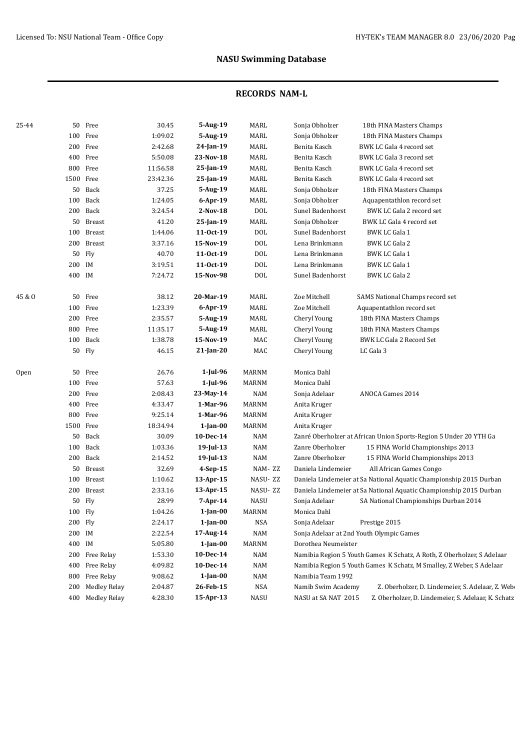| 25-44  |           | 50 Free             | 30.45    | 5-Aug-19                  | MARL         | Sonja Obholzer<br>18th FINA Masters Champs                                   |
|--------|-----------|---------------------|----------|---------------------------|--------------|------------------------------------------------------------------------------|
|        |           | 100 Free            | 1:09.02  | 5-Aug-19                  | MARL         | Sonja Obholzer<br>18th FINA Masters Champs                                   |
|        |           | 200 Free            | 2:42.68  | 24-Jan-19                 | <b>MARL</b>  | Benita Kasch<br>BWK LC Gala 4 record set                                     |
|        |           | 400 Free            | 5:50.08  | 23-Nov-18                 | <b>MARL</b>  | Benita Kasch<br>BWK LC Gala 3 record set                                     |
|        |           | 800 Free            | 11:56.58 | 25-Jan-19                 | MARL         | Benita Kasch<br>BWK LC Gala 4 record set                                     |
|        | 1500 Free |                     | 23:42.36 | 25-Jan-19                 | <b>MARL</b>  | BWK LC Gala 4 record set<br>Benita Kasch                                     |
|        |           | 50 Back             | 37.25    | 5-Aug-19                  | MARL         | Sonja Obholzer<br>18th FINA Masters Champs                                   |
|        |           | 100 Back            | 1:24.05  | $6$ -Apr-19               | MARL         | Sonja Obholzer<br>Aquapentathlon record set                                  |
|        |           | 200 Back            | 3:24.54  | $2-Nov-18$                | DOL          | Sunel Badenhorst<br>BWK LC Gala 2 record set                                 |
|        |           | 50 Breast           | 41.20    | 25-Jan-19                 | MARL         | Sonja Obholzer<br>BWK LC Gala 4 record set                                   |
|        |           | 100 Breast          | 1:44.06  | 11-0ct-19                 | DOL          | Sunel Badenhorst<br><b>BWK LC Gala 1</b>                                     |
|        |           | 200 Breast          | 3:37.16  | 15-Nov-19                 | DOL          | Lena Brinkmann<br><b>BWK LC Gala 2</b>                                       |
|        |           | 50 Fly              | 40.70    | 11-0ct-19                 | DOL          | Lena Brinkmann<br>BWK LC Gala 1                                              |
|        | 200 IM    |                     | 3:19.51  | 11-0ct-19                 | DOL          | Lena Brinkmann<br><b>BWK LC Gala 1</b>                                       |
|        | 400 IM    |                     | 7:24.72  | 15-Nov-98                 | <b>DOL</b>   | Sunel Badenhorst<br><b>BWK LC Gala 2</b>                                     |
| 45 & O |           | 50 Free             | 38.12    | 20-Mar-19                 | MARL         | Zoe Mitchell                                                                 |
|        |           | 100 Free            | 1:23.39  |                           | MARL         | SAMS National Champs record set<br>Zoe Mitchell<br>Aquapentathlon record set |
|        |           | 200 Free            | 2:35.57  | $6$ -Apr-19<br>$5-Aug-19$ |              |                                                                              |
|        |           | 800 Free            |          |                           | MARL         | Cheryl Young<br>18th FINA Masters Champs                                     |
|        |           | 100 Back            | 11:35.17 | 5-Aug-19                  | MARL         | Cheryl Young<br>18th FINA Masters Champs                                     |
|        |           |                     | 1:38.78  | 15-Nov-19<br>21-Jan-20    | MAC          | Cheryl Young<br>BWK LC Gala 2 Record Set                                     |
|        |           | 50 Fly              | 46.15    |                           | MAC          | Cheryl Young<br>LC Gala 3                                                    |
| Open   |           | 50 Free             | 26.76    | $1$ -Jul-96               | <b>MARNM</b> | Monica Dahl                                                                  |
|        |           | 100 Free            | 57.63    | $1$ -Jul-96               | MARNM        | Monica Dahl                                                                  |
|        |           | 200 Free            | 2:08.43  | 23-May-14                 | NAM          | ANOCA Games 2014<br>Sonja Adelaar                                            |
|        |           | 400 Free            | 4:33.47  | 1-Mar-96                  | MARNM        | Anita Kruger                                                                 |
|        |           | 800 Free            | 9:25.14  | 1-Mar-96                  | <b>MARNM</b> | Anita Kruger                                                                 |
|        | 1500 Free |                     | 18:34.94 | $1$ -Jan- $00$            | <b>MARNM</b> | Anita Kruger                                                                 |
|        |           | 50 Back             | 30.09    | 10-Dec-14                 | NAM          | Zanré Oberholzer at African Union Sports-Region 5 Under 20 YTH Ga            |
|        |           | 100 Back            | 1:03.36  | 19-Jul-13                 | <b>NAM</b>   | Zanre Oberholzer<br>15 FINA World Championships 2013                         |
|        |           | 200 Back            | 2:14.52  | 19-Jul-13                 | <b>NAM</b>   | Zanre Oberholzer<br>15 FINA World Championships 2013                         |
|        |           | 50 Breast           | 32.69    | 4-Sep-15                  | NAM-ZZ       | Daniela Lindemeier<br>All African Games Congo                                |
|        |           | 100 Breast          | 1:10.62  | 13-Apr-15                 | NASU-ZZ      | Daniela Lindemeier at Sa National Aquatic Championship 2015 Durban           |
|        |           | 200 Breast          | 2:33.16  | 13-Apr-15                 | NASU-ZZ      | Daniela Lindemeier at Sa National Aquatic Championship 2015 Durban           |
|        |           | 50 Fly              | 28.99    | 7-Apr-14                  | <b>NASU</b>  | Sonja Adelaar<br>SA National Championships Durban 2014                       |
|        | 100 Fly   |                     | 1:04.26  | $1$ -Jan- $00$            | MARNM        | Monica Dahl                                                                  |
|        | 200 Fly   |                     | 2:24.17  | $1$ -Jan-00               | $_{\rm NSA}$ | Sonja Adelaar<br>Prestige 2015                                               |
|        | 200 IM    |                     | 2:22.54  | 17-Aug-14                 | <b>NAM</b>   | Sonja Adelaar at 2nd Youth Olympic Games                                     |
|        | 400 IM    |                     | 5:05.80  | $1$ -Jan- $00$            | MARNM        | Dorothea Neumeister                                                          |
|        |           | 200 Free Relay      | 1:53.30  | 10-Dec-14                 | NAM          | Namibia Region 5 Youth Games K Schatz, A Roth, Z Oberholzer, S Adelaar       |
|        |           | 400 Free Relay      | 4:09.82  | $10$ -Dec- $14$           | NAM          | Namibia Region 5 Youth Games K Schatz, M Smalley, Z Weber, S Adelaar         |
|        | 800       | Free Relay          | 9:08.62  | $1$ -Jan- $00$            | <b>NAM</b>   | Namibia Team 1992                                                            |
|        | 200       | <b>Medley Relay</b> | 2:04.87  | 26-Feb-15                 | NSA          | Namib Swim Academy<br>Z. Oberholzer, D. Lindemeier, S. Adelaar, Z. Web-      |
|        |           | 400 Medley Relay    | 4:28.30  | 15-Apr-13                 | NASU         | NASU at SA NAT 2015<br>Z. Oberholzer, D. Lindemeier, S. Adelaar, K. Schatz   |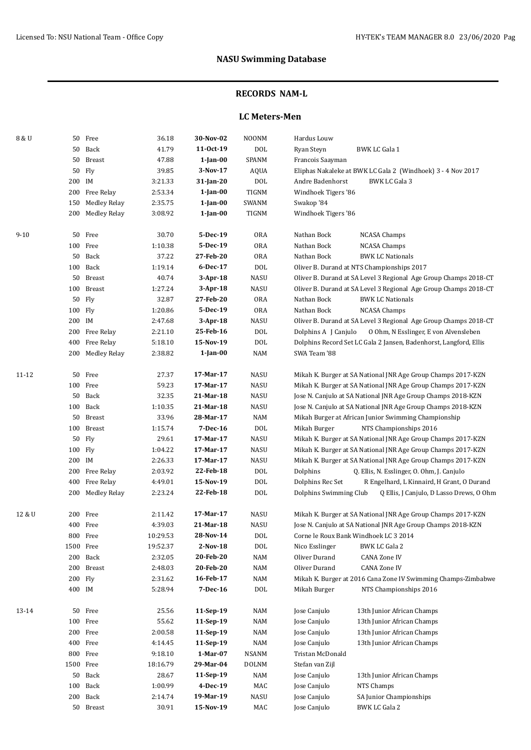## **RECORDS NAM-L**

### **LC Meters-Men**

| 8 & U    |           | 50 Free             | 36.18    | 30-Nov-02   | <b>NOONM</b> | Hardus Louw                                                        |
|----------|-----------|---------------------|----------|-------------|--------------|--------------------------------------------------------------------|
|          |           | 50 Back             | 41.79    | 11-0ct-19   | <b>DOL</b>   | Ryan Steyn<br><b>BWK LC Gala 1</b>                                 |
|          | 50        | Breast              | 47.88    | $1$ -Jan-00 | SPANM        | Francois Saayman                                                   |
|          |           | 50 Fly              | 39.85    | 3-Nov-17    | AQUA         | Eliphas Nakaleke at BWK LC Gala 2 (Windhoek) 3 - 4 Nov 2017        |
|          | 200 IM    |                     | 3:21.33  | 31-Jan-20   | <b>DOL</b>   | Andre Badenhorst<br><b>BWK LC Gala 3</b>                           |
|          |           | 200 Free Relay      | 2:53.34  | $1$ -Jan-00 | TIGNM        | Windhoek Tigers '86                                                |
|          | 150       | <b>Medley Relay</b> | 2:35.75  | $1$ -Jan-00 | SWANM        | Swakop '84                                                         |
|          | 200       | <b>Medley Relay</b> | 3:08.92  | $1$ -Jan-00 | TIGNM        | Windhoek Tigers '86                                                |
|          |           |                     |          |             |              |                                                                    |
| $9 - 10$ |           | 50 Free             | 30.70    | 5-Dec-19    | <b>ORA</b>   | Nathan Bock<br><b>NCASA Champs</b>                                 |
|          |           | 100 Free            | 1:10.38  | 5-Dec-19    | <b>ORA</b>   | Nathan Bock<br><b>NCASA Champs</b>                                 |
|          | 50        | Back                | 37.22    | 27-Feb-20   | <b>ORA</b>   | <b>BWK LC Nationals</b><br>Nathan Bock                             |
|          |           | 100 Back            | 1:19.14  | 6-Dec-17    | $\rm DOL$    | Oliver B. Durand at NTS Championships 2017                         |
|          |           | 50 Breast           | 40.74    | $3-Apr-18$  | NASU         | Oliver B. Durand at SA Level 3 Regional Age Group Champs 2018-CT   |
|          | 100       | Breast              | 1:27.24  | $3-Apr-18$  | <b>NASU</b>  | Oliver B. Durand at SA Level 3 Regional Age Group Champs 2018-CT   |
|          | 50        | Fly                 | 32.87    | 27-Feb-20   | <b>ORA</b>   | Nathan Bock<br><b>BWK LC Nationals</b>                             |
|          | 100 Fly   |                     | 1:20.86  | 5-Dec-19    | <b>ORA</b>   | Nathan Bock<br><b>NCASA Champs</b>                                 |
|          | 200 IM    |                     | 2:47.68  | $3-Apr-18$  | NASU         | Oliver B. Durand at SA Level 3 Regional Age Group Champs 2018-CT   |
|          |           | 200 Free Relay      | 2:21.10  | 25-Feb-16   | <b>DOL</b>   | Dolphins A [ Canjulo<br>0 Ohm, N Esslinger, E von Alvensleben      |
|          | 400       | Free Relay          | 5:18.10  | 15-Nov-19   | DOL          | Dolphins Record Set LC Gala 2 Jansen, Badenhorst, Langford, Ellis  |
|          | 200       | Medley Relay        | 2:38.82  | $1$ -Jan-00 | NAM          | SWA Team '88                                                       |
|          |           |                     |          |             |              |                                                                    |
| 11-12    |           | 50 Free             | 27.37    | 17-Mar-17   | NASU         | Mikah K. Burger at SA National JNR Age Group Champs 2017-KZN       |
|          |           | 100 Free            | 59.23    | 17-Mar-17   | <b>NASU</b>  | Mikah K. Burger at SA National JNR Age Group Champs 2017-KZN       |
|          |           | 50 Back             | 32.35    | 21-Mar-18   | NASU         | Jose N. Canjulo at SA National JNR Age Group Champs 2018-KZN       |
|          |           | 100 Back            | 1:10.35  | 21-Mar-18   | NASU         | Jose N. Canjulo at SA National JNR Age Group Champs 2018-KZN       |
|          |           | 50 Breast           | 33.96    | 28-Mar-17   | <b>NAM</b>   | Mikah Burger at African Junior Swimming Championship               |
|          |           | 100 Breast          | 1:15.74  | 7-Dec-16    | <b>DOL</b>   | NTS Championships 2016<br>Mikah Burger                             |
|          |           | 50 Fly              | 29.61    | 17-Mar-17   | NASU         | Mikah K. Burger at SA National JNR Age Group Champs 2017-KZN       |
|          | 100 Fly   |                     | 1:04.22  | 17-Mar-17   | NASU         | Mikah K. Burger at SA National JNR Age Group Champs 2017-KZN       |
|          | 200 IM    |                     | 2:26.33  | 17-Mar-17   | <b>NASU</b>  | Mikah K. Burger at SA National JNR Age Group Champs 2017-KZN       |
|          |           | 200 Free Relay      | 2:03.92  | 22-Feb-18   | <b>DOL</b>   | Dolphins<br>Q. Ellis, N. Esslinger, O. Ohm, J. Canjulo             |
|          | 400       | Free Relay          | 4:49.01  | 15-Nov-19   | <b>DOL</b>   | Dolphins Rec Set<br>R Engelhard, L Kinnaird, H Grant, O Durand     |
|          |           | 200 Medley Relay    | 2:23.24  | 22-Feb-18   | DOL          | Dolphins Swimming Club<br>Q Ellis, J Canjulo, D Lasso Drews, O Ohm |
|          |           |                     |          |             |              |                                                                    |
| 12 & U   |           | 200 Free            | 2:11.42  | 17-Mar-17   | <b>NASU</b>  | Mikah K. Burger at SA National JNR Age Group Champs 2017-KZN       |
|          |           | 400 Free            | 4:39.03  | 21-Mar-18   | <b>NASU</b>  | Jose N. Canjulo at SA National JNR Age Group Champs 2018-KZN       |
|          |           | 800 Free            | 10:29.53 | 28-Nov-14   | DOL          | Corne le Roux Bank Windhoek LC 3 2014                              |
|          | 1500 Free |                     | 19:52.37 | $2-Nov-18$  | $\rm DOL$    | Nico Esslinger<br><b>BWK LC Gala 2</b>                             |
|          |           | 200 Back            | 2:32.05  | 20-Feb-20   | NAM          | Oliver Durand<br><b>CANA Zone IV</b>                               |
|          | 200       | Breast              | 2:48.03  | 20-Feb-20   | <b>NAM</b>   | Oliver Durand<br><b>CANA Zone IV</b>                               |
|          | 200 Fly   |                     | 2:31.62  | 16-Feb-17   | <b>NAM</b>   | Mikah K. Burger at 2016 Cana Zone IV Swimming Champs-Zimbabwe      |
|          | 400 IM    |                     | 5:28.94  | 7-Dec-16    | <b>DOL</b>   | Mikah Burger<br>NTS Championships 2016                             |
|          |           |                     |          |             |              |                                                                    |
| 13-14    |           | 50 Free             | 25.56    | 11-Sep-19   | <b>NAM</b>   | 13th Junior African Champs<br>Jose Canjulo                         |
|          |           | 100 Free            | 55.62    | 11-Sep-19   | <b>NAM</b>   | Jose Canjulo<br>13th Junior African Champs                         |
|          |           | 200 Free            | 2:00.58  | 11-Sep-19   | NAM          | Jose Canjulo<br>13th Junior African Champs                         |
|          |           | 400 Free            | 4:14.45  | 11-Sep-19   | NAM          | Jose Canjulo<br>13th Junior African Champs                         |
|          |           | 800 Free            | 9:18.10  | 1-Mar-07    | NSANM        | Tristan McDonald                                                   |
|          | 1500 Free |                     | 18:16.79 | 29-Mar-04   | <b>DOLNM</b> | Stefan van Zijl                                                    |
|          |           | 50 Back             | 28.67    | 11-Sep-19   | <b>NAM</b>   | Jose Canjulo<br>13th Junior African Champs                         |
|          | 100       | Back                | 1:00.99  | 4-Dec-19    | MAC          | Jose Canjulo<br>NTS Champs                                         |
|          |           | 200 Back            | 2:14.74  | 19-Mar-19   | NASU         | Jose Canjulo<br>SA Junior Championships                            |
|          |           | 50 Breast           | 30.91    | 15-Nov-19   | MAC          | Jose Canjulo<br><b>BWK LC Gala 2</b>                               |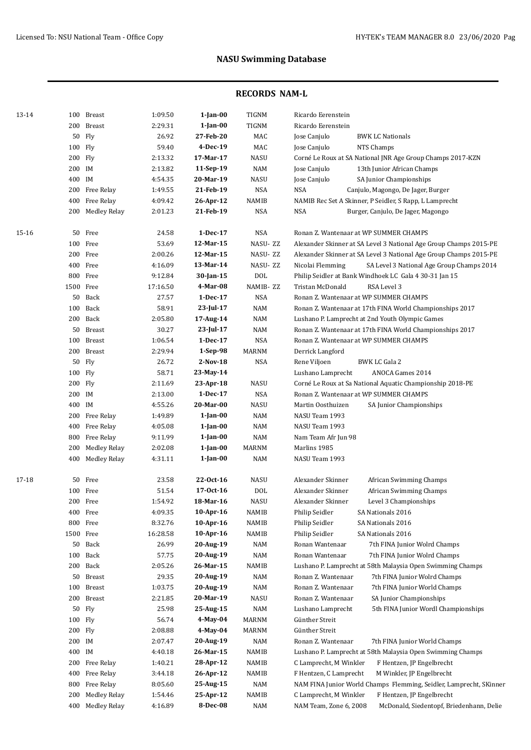| 13-14 | 100       | Breast              | 1:09.50  | $1$ -Jan- $00$ | TIGNM        | Ricardo Eerenstein                                                 |
|-------|-----------|---------------------|----------|----------------|--------------|--------------------------------------------------------------------|
|       | 200       | <b>Breast</b>       | 2:29.31  | $1$ -Jan- $00$ | <b>TIGNM</b> | Ricardo Eerenstein                                                 |
|       | 50        | Fly                 | 26.92    | 27-Feb-20      | MAC          | Jose Canjulo<br><b>BWK LC Nationals</b>                            |
|       | 100       | Fly                 | 59.40    | 4-Dec-19       | MAC          | Jose Canjulo<br>NTS Champs                                         |
|       | 200 Fly   |                     | 2:13.32  | 17-Mar-17      | <b>NASU</b>  | Corné Le Roux at SA National JNR Age Group Champs 2017-KZN         |
|       | 200 IM    |                     | 2:13.82  | 11-Sep-19      | <b>NAM</b>   | Jose Canjulo<br>13th Junior African Champs                         |
|       | 400 IM    |                     | 4:54.35  | 20-Mar-19      | <b>NASU</b>  | Jose Canjulo<br>SA Junior Championships                            |
|       | 200       | Free Relay          | 1:49.55  | 21-Feb-19      | <b>NSA</b>   | <b>NSA</b><br>Canjulo, Magongo, De Jager, Burger                   |
|       | 400       | Free Relay          | 4:09.42  | 26-Apr-12      | <b>NAMIB</b> | NAMIB Rec Set A Skinner, P Seidler, S Rapp, L Lamprecht            |
|       | 200       | Medley Relay        | 2:01.23  | 21-Feb-19      | <b>NSA</b>   | <b>NSA</b><br>Burger, Canjulo, De Jager, Magongo                   |
| 15-16 | 50        | Free                | 24.58    | 1-Dec-17       | <b>NSA</b>   | Ronan Z. Wantenaar at WP SUMMER CHAMPS                             |
|       | 100       | Free                | 53.69    | 12-Mar-15      | NASU-ZZ      | Alexander Skinner at SA Level 3 National Age Group Champs 2015-PE  |
|       | 200       | Free                | 2:00.26  | 12-Mar-15      | NASU-ZZ      | Alexander Skinner at SA Level 3 National Age Group Champs 2015-PE  |
|       |           | 400 Free            | 4:16.09  | 13-Mar-14      | NASU-ZZ      | Nicolai Flemming<br>SA Level 3 National Age Group Champs 2014      |
|       |           | 800 Free            | 9:12.84  | 30-Jan-15      | <b>DOL</b>   | Philip Seidler at Bank Windhoek LC Gala 4 30-31 Jan 15             |
|       | 1500 Free |                     | 17:16.50 | 4-Mar-08       | NAMIB-ZZ     | <b>Tristan McDonald</b><br>RSA Level 3                             |
|       |           | 50 Back             | 27.57    | 1-Dec-17       | <b>NSA</b>   | Ronan Z. Wantenaar at WP SUMMER CHAMPS                             |
|       | 100       | Back                | 58.91    | 23-Jul-17      | <b>NAM</b>   | Ronan Z. Wantenaar at 17th FINA World Championships 2017           |
|       |           | 200 Back            | 2:05.80  | 17-Aug-14      | <b>NAM</b>   | Lushano P. Lamprecht at 2nd Youth Olympic Games                    |
|       | 50        | Breast              | 30.27    | $23$ -Jul-17   | <b>NAM</b>   | Ronan Z. Wantenaar at 17th FINA World Championships 2017           |
|       | 100       | <b>Breast</b>       | 1:06.54  | 1-Dec-17       | <b>NSA</b>   | Ronan Z. Wantenaar at WP SUMMER CHAMPS                             |
|       |           | 200 Breast          | 2:29.94  | $1-Sep-98$     | <b>MARNM</b> | Derrick Langford                                                   |
|       | 50        | Fly                 | 26.72    | 2-Nov-18       | <b>NSA</b>   | Rene Viljoen<br><b>BWK LC Gala 2</b>                               |
|       | 100       | Fly                 | 58.71    | 23-May-14      |              | Lushano Lamprecht<br><b>ANOCA Games 2014</b>                       |
|       | 200       | Fly                 | 2:11.69  | 23-Apr-18      | <b>NASU</b>  | Corné Le Roux at Sa National Aquatic Championship 2018-PE          |
|       | 200 IM    |                     | 2:13.00  | 1-Dec-17       | <b>NSA</b>   | Ronan Z. Wantenaar at WP SUMMER CHAMPS                             |
|       | 400 IM    |                     | 4:55.26  | 20-Mar-00      | <b>NASU</b>  | Martin Oosthuizen<br>SA Junior Championships                       |
|       | 200       | Free Relay          | 1:49.89  | $1$ -Jan- $00$ | <b>NAM</b>   | NASU Team 1993                                                     |
|       | 400       | Free Relay          | 4:05.08  | $1$ -Jan- $00$ | <b>NAM</b>   | NASU Team 1993                                                     |
|       | 800       | Free Relay          | 9:11.99  | $1$ -Jan- $00$ | <b>NAM</b>   | Nam Team Afr Jun 98                                                |
|       | 200       | <b>Medley Relay</b> | 2:02.08  | $1$ -Jan- $00$ | <b>MARNM</b> | Marlins 1985                                                       |
|       | 400       | <b>Medley Relay</b> | 4:31.11  | 1-Jan-00       | <b>NAM</b>   | NASU Team 1993                                                     |
| 17-18 |           | 50 Free             | 23.58    | 22-Oct-16      | <b>NASU</b>  | Alexander Skinner<br>African Swimming Champs                       |
|       |           | 100 Free            | 51.54    | 17-0ct-16      | <b>DOL</b>   | Alexander Skinner<br>African Swimming Champs                       |
|       |           | 200 Free            | 1:54.92  | 18-Mar-16      | <b>NASU</b>  | Alexander Skinner<br>Level 3 Championships                         |
|       |           | 400 Free            | 4:09.35  | 10-Apr-16      | <b>NAMIB</b> | Philip Seidler<br>SA Nationals 2016                                |
|       | 800       | Free                | 8:32.76  | 10-Apr-16      | <b>NAMIB</b> | Philip Seidler<br>SA Nationals 2016                                |
|       | 1500      | Free                | 16:28.58 | 10-Apr-16      | NAMIB        | Philip Seidler<br>SA Nationals 2016                                |
|       | 50        | Back                | 26.99    | 20-Aug-19      | <b>NAM</b>   | Ronan Wantenaar<br>7th FINA Junior Wolrd Champs                    |
|       | 100       | Back                | 57.75    | 20-Aug-19      | <b>NAM</b>   | Ronan Wantenaar<br>7th FINA Junior Wolrd Champs                    |
|       | 200       | Back                | 2:05.26  | 26-Mar-15      | <b>NAMIB</b> | Lushano P. Lamprecht at 58th Malaysia Open Swimming Champs         |
|       | 50        | Breast              | 29.35    | 20-Aug-19      | <b>NAM</b>   | 7th FINA Junior Wolrd Champs<br>Ronan Z. Wantenaar                 |
|       | 100       | <b>Breast</b>       | 1:03.75  | 20-Aug-19      | <b>NAM</b>   | 7th FINA Junior World Champs<br>Ronan Z. Wantenaar                 |
|       | 200       | Breast              | 2:21.85  | 20-Mar-19      | <b>NASU</b>  | SA Junior Championships<br>Ronan Z. Wantenaar                      |
|       |           |                     | 25.98    | 25-Aug-15      |              |                                                                    |
|       | 50        | Fly                 |          |                | <b>NAM</b>   | Lushano Lamprecht<br>5th FINA Junior Wordl Championships           |
|       | 100       | Fly                 | 56.74    | 4-May-04       | <b>MARNM</b> | Günther Streit                                                     |
|       | 200       | Fly                 | 2:08.88  | 4-May-04       | MARNM        | Günther Streit                                                     |
|       | 200       | IM                  | 2:07.47  | 20-Aug-19      | <b>NAM</b>   | Ronan Z. Wantenaar<br>7th FINA Junior World Champs                 |
|       | 400       | IM                  | 4:40.18  | 26-Mar-15      | <b>NAMIB</b> | Lushano P. Lamprecht at 58th Malaysia Open Swimming Champs         |
|       | 200       | Free Relay          | 1:40.21  | 28-Apr-12      | <b>NAMIB</b> | C Lamprecht, M Winkler<br>F Hentzen, JP Engelbrecht                |
|       | 400       | Free Relay          | 3:44.18  | 26-Apr-12      | <b>NAMIB</b> | F Hentzen, C Lamprecht<br>M Winkler, JP Engelbrecht                |
|       | 800       | Free Relay          | 8:05.60  | 25-Aug-15      | <b>NAM</b>   | NAM FINA Junior World Champs Flemming, Seidler, Lamprecht, SKinner |
|       | 200       | <b>Medley Relay</b> | 1:54.46  | 25-Apr-12      | <b>NAMIB</b> | F Hentzen, JP Engelbrecht<br>C Lamprecht, M Winkler                |
|       | 400       | <b>Medley Relay</b> | 4:16.89  | 8-Dec-08       | <b>NAM</b>   | NAM Team, Zone 6, 2008<br>McDonald, Siedentopf, Briedenhann, Delie |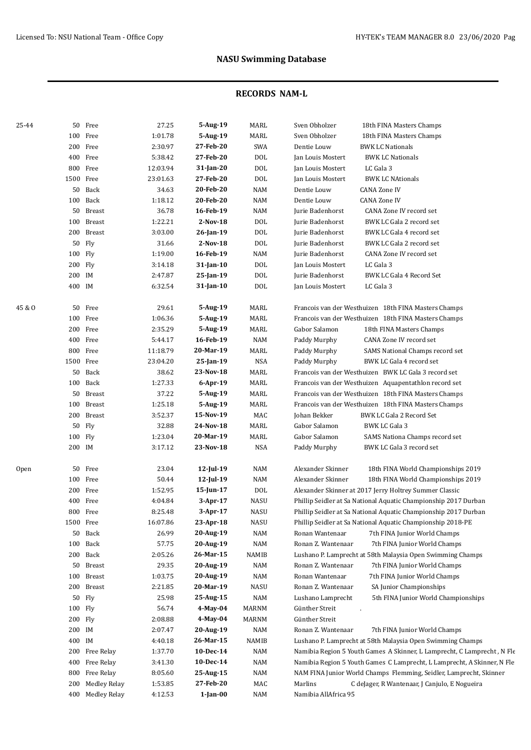| 25-44  |           | 50 Free             | 27.25    | 5-Aug-19        | MARL            | Sven Obholzer<br>18th FINA Masters Champs                               |
|--------|-----------|---------------------|----------|-----------------|-----------------|-------------------------------------------------------------------------|
|        |           | 100 Free            | 1:01.78  | 5-Aug-19        |                 |                                                                         |
|        |           |                     |          |                 | MARL            | Sven Obholzer<br>18th FINA Masters Champs                               |
|        |           | 200 Free            | 2:30.97  | 27-Feb-20       | SWA             | Dentie Louw<br><b>BWK LC Nationals</b>                                  |
|        |           | 400 Free            | 5:38.42  | 27-Feb-20       | DOL             | Jan Louis Mostert<br><b>BWK LC Nationals</b>                            |
|        |           | 800 Free            | 12:03.94 | 31-Jan-20       | DOL             | Jan Louis Mostert<br>LC Gala 3                                          |
|        | 1500 Free |                     | 23:01.63 | 27-Feb-20       | DOL             | Jan Louis Mostert<br><b>BWK LC NAtionals</b>                            |
|        |           | 50 Back             | 34.63    | 20-Feb-20       | <b>NAM</b>      | Dentie Louw<br><b>CANA Zone IV</b>                                      |
|        |           | 100 Back            | 1:18.12  | 20-Feb-20       | <b>NAM</b>      | Dentie Louw<br><b>CANA Zone IV</b>                                      |
|        |           | 50 Breast           | 36.78    | 16-Feb-19       | NAM             | Jurie Badenhorst<br>CANA Zone IV record set                             |
|        |           | 100 Breast          | 1:22.21  | 2-Nov-18        | DOL             | BWK LC Gala 2 record set<br>Jurie Badenhorst                            |
|        |           | 200 Breast          | 3:03.00  | 26-Jan-19       | DOL             | Jurie Badenhorst<br>BWK LC Gala 4 record set                            |
|        |           | 50 Fly              | 31.66    | 2-Nov-18        | <b>DOL</b>      | Jurie Badenhorst<br>BWK LC Gala 2 record set                            |
|        | 100 Fly   |                     | 1:19.00  | 16-Feb-19       | <b>NAM</b>      | Jurie Badenhorst<br>CANA Zone IV record set                             |
|        | 200 Fly   |                     | 3:14.18  | $31$ -Jan-10    | DOL             | Jan Louis Mostert<br>LC Gala 3                                          |
|        | 200 IM    |                     | 2:47.87  | 25-Jan-19       | DOL             | Jurie Badenhorst<br>BWK LC Gala 4 Record Set                            |
|        | 400 IM    |                     | 6:32.54  | 31-Jan-10       | <b>DOL</b>      | Jan Louis Mostert<br>LC Gala 3                                          |
| 45 & O |           | 50 Free             | 29.61    | 5-Aug-19        | MARL            | Francois van der Westhuizen 18th FINA Masters Champs                    |
|        |           | 100 Free            | 1:06.36  | 5-Aug-19        | <b>MARL</b>     | Francois van der Westhuizen 18th FINA Masters Champs                    |
|        | 200       | Free                | 2:35.29  | 5-Aug-19        | MARL            | Gabor Salamon<br>18th FINA Masters Champs                               |
|        | 400       | Free                | 5:44.17  | 16-Feb-19       | <b>NAM</b>      | Paddy Murphy<br>CANA Zone IV record set                                 |
|        | 800       | Free                | 11:18.79 | 20-Mar-19       | <b>MARL</b>     | Paddy Murphy<br>SAMS National Champs record set                         |
|        | 1500      | Free                | 23:04.20 | 25-Jan-19       | <b>NSA</b>      | Paddy Murphy<br>BWK LC Gala 4 record set                                |
|        | 50        | Back                | 38.62    | 23-Nov-18       | <b>MARL</b>     | Francois van der Westhuizen BWK LC Gala 3 record set                    |
|        |           | 100 Back            | 1:27.33  | 6-Apr-19        | MARL            | Francois van der Westhuizen Aquapentathlon record set                   |
|        | 50        | <b>Breast</b>       | 37.22    | 5-Aug-19        | <b>MARL</b>     | Francois van der Westhuizen 18th FINA Masters Champs                    |
|        | 100       | Breast              | 1:25.18  | 5-Aug-19        | MARL            | Francois van der Westhuizen 18th FINA Masters Champs                    |
|        |           | 200 Breast          | 3:52.37  | 15-Nov-19       | MAC             | BWK LC Gala 2 Record Set<br>Johan Bekker                                |
|        | 50        | Fly                 | 32.88    | 24-Nov-18       | <b>MARL</b>     | Gabor Salamon<br>BWK LC Gala 3                                          |
|        | 100 Fly   |                     | 1:23.04  | 20-Mar-19       | MARL            | Gabor Salamon<br>SAMS Nationa Champs record set                         |
|        | 200 IM    |                     | 3:17.12  | 23-Nov-18       | NSA             | Paddy Murphy<br>BWK LC Gala 3 record set                                |
| Open   | 50        | Free                | 23.04    | $12$ -Jul-19    | <b>NAM</b>      | Alexander Skinner<br>18th FINA World Championships 2019                 |
|        |           | 100 Free            | 50.44    | $12$ -Jul-19    | <b>NAM</b>      | Alexander Skinner<br>18th FINA World Championships 2019                 |
|        | 200       | Free                | 1:52.95  | $15$ -Jun- $17$ | DO <sub>L</sub> | Alexander Skinner at 2017 Jerry Holtrey Summer Classic                  |
|        | 400       | Free                | 4:04.84  | 3-Apr-17        | <b>NASU</b>     | Phillip Seidler at Sa National Aquatic Championship 2017 Durban         |
|        |           | 800 Free            | 8:25.48  | 3-Apr-17        | <b>NASU</b>     | Phillip Seidler at Sa National Aquatic Championship 2017 Durban         |
|        | 1500 Free |                     | 16:07.86 | 23-Apr-18       | NASU            | Phillip Seidler at Sa National Aquatic Championship 2018-PE             |
|        | 50        | Back                | 26.99    | 20-Aug-19       | NAM             | Ronan Wantenaar<br>7th FINA Junior World Champs                         |
|        | 100       | Back                | 57.75    | 20-Aug-19       | NAM             | Ronan Z. Wantenaar<br>7th FINA Junior World Champs                      |
|        |           | 200 Back            | 2:05.26  | 26-Mar-15       | NAMIB           | Lushano P. Lamprecht at 58th Malaysia Open Swimming Champs              |
|        | 50        | Breast              | 29.35    | 20-Aug-19       | NAM             | Ronan Z. Wantenaar<br>7th FINA Junior World Champs                      |
|        | 100       | Breast              | 1:03.75  | 20-Aug-19       | NAM             | Ronan Wantenaar<br>7th FINA Junior World Champs                         |
|        |           | 200 Breast          | 2:21.85  | 20-Mar-19       | NASU            | Ronan Z. Wantenaar<br>SA Junior Championships                           |
|        |           | 50 Fly              | 25.98    | 25-Aug-15       | NAM             | Lushano Lamprecht<br>5th FINA Junior World Championships                |
|        | 100 Fly   |                     | 56.74    | $4$ -May-04     | MARNM           | Günther Streit                                                          |
|        | 200 Fly   |                     | 2:08.88  | 4-May-04        | MARNM           | Günther Streit                                                          |
|        | 200 IM    |                     | 2:07.47  | 20-Aug-19       | NAM             | Ronan Z. Wantenaar<br>7th FINA Junior World Champs                      |
|        | 400 IM    |                     | 4:40.18  | 26-Mar-15       | NAMIB           | Lushano P. Lamprecht at 58th Malaysia Open Swimming Champs              |
|        |           | 200 Free Relay      | 1:37.70  | 10-Dec-14       | NAM             | Namibia Region 5 Youth Games A Skinner, L Lamprecht, C Lamprecht, N Fle |
|        | 400       | Free Relay          | 3:41.30  | 10-Dec-14       | NAM             | Namibia Region 5 Youth Games C Lamprecht, L Lamprecht, A Skinner, N Fle |
|        | 800       | Free Relay          | 8:05.60  | 25-Aug-15       | NAM             | NAM FINA Junior World Champs Flemming, Seidler, Lamprecht, Skinner      |
|        | 200       | <b>Medley Relay</b> | 1:53.85  | 27-Feb-20       | MAC             | Marlins<br>C deJager, R Wantenaar, J Canjulo, E Nogueira                |
|        |           | 400 Medley Relay    | 4:12.53  | 1-Jan-00        | NAM             | Namibia AllAfrica 95                                                    |
|        |           |                     |          |                 |                 |                                                                         |